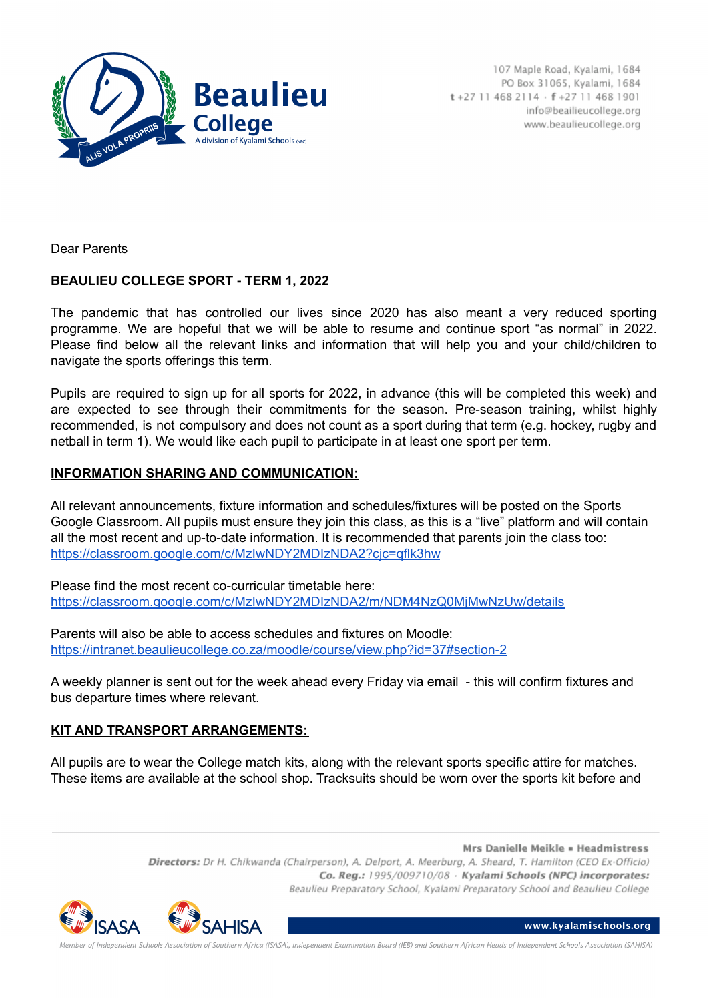

107 Maple Road, Kyalami, 1684 PO Box 31065, Kyalami, 1684  $t + 27114682114 \cdot f + 27114681901$ info@beailieucollege.org www.beaulieucollege.org

Dear Parents

## **BEAULIEU COLLEGE SPORT - TERM 1, 2022**

The pandemic that has controlled our lives since 2020 has also meant a very reduced sporting programme. We are hopeful that we will be able to resume and continue sport "as normal" in 2022. Please find below all the relevant links and information that will help you and your child/children to navigate the sports offerings this term.

Pupils are required to sign up for all sports for 2022, in advance (this will be completed this week) and are expected to see through their commitments for the season. Pre-season training, whilst highly recommended, is not compulsory and does not count as a sport during that term (e.g. hockey, rugby and netball in term 1). We would like each pupil to participate in at least one sport per term.

#### **INFORMATION SHARING AND COMMUNICATION:**

All relevant announcements, fixture information and schedules/fixtures will be posted on the Sports Google Classroom. All pupils must ensure they join this class, as this is a "live" platform and will contain all the most recent and up-to-date information. It is recommended that parents join the class too: https://classroom.google.com/c/MzIwNDY2MDIzNDA2?cic=qflk3hw

Please find the most recent co-curricular timetable here: <https://classroom.google.com/c/MzIwNDY2MDIzNDA2/m/NDM4NzQ0MjMwNzUw/details>

Parents will also be able to access schedules and fixtures on Moodle: <https://intranet.beaulieucollege.co.za/moodle/course/view.php?id=37#section-2>

A weekly planner is sent out for the week ahead every Friday via email - this will confirm fixtures and bus departure times where relevant.

#### **KIT AND TRANSPORT ARRANGEMENTS:**

All pupils are to wear the College match kits, along with the relevant sports specific attire for matches. These items are available at the school shop. Tracksuits should be worn over the sports kit before and

> Mrs Danielle Meikle = Headmistress Directors: Dr H. Chikwanda (Chairperson), A. Delport, A. Meerburg, A. Sheard, T. Hamilton (CEO Ex-Officio) Co. Reg.: 1995/009710/08 · Kyalami Schools (NPC) incorporates: Beaulieu Preparatory School, Kyalami Preparatory School and Beaulieu College



www.kyalamischools.org

ependent Schools Association of Southern Africa (ISASA), Independent Examination Board (IEB) and Southern African Heads of Independent Schools Association (SAHISA)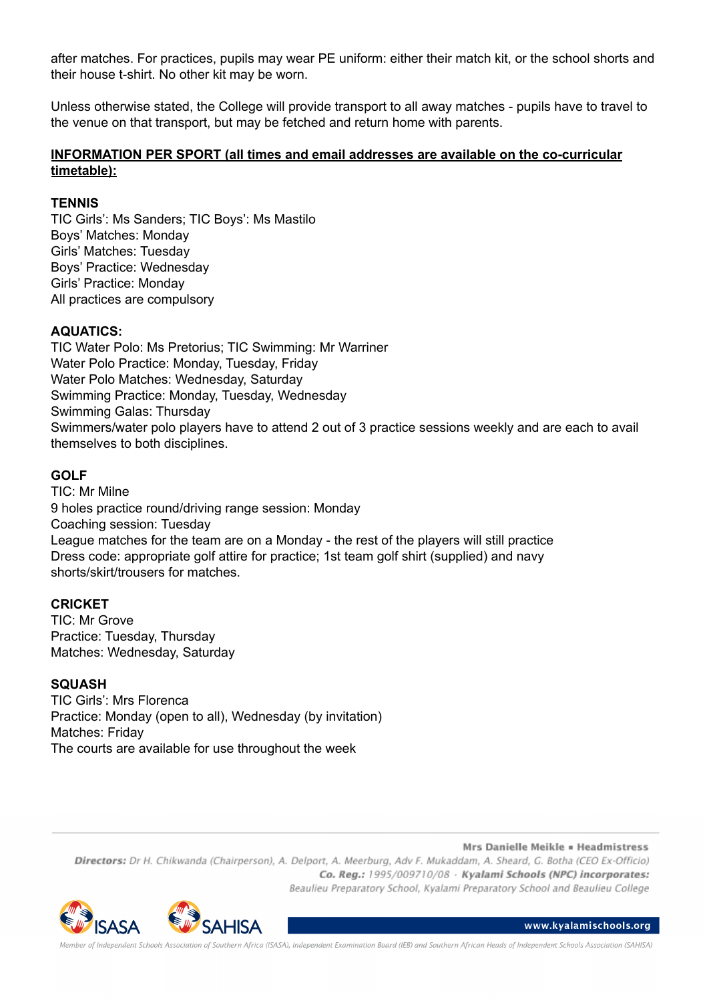after matches. For practices, pupils may wear PE uniform: either their match kit, or the school shorts and their house t-shirt. No other kit may be worn.

Unless otherwise stated, the College will provide transport to all away matches - pupils have to travel to the venue on that transport, but may be fetched and return home with parents.

## **INFORMATION PER SPORT (all times and email addresses are available on the co-curricular timetable):**

### **TENNIS**

TIC Girls': Ms Sanders; TIC Boys': Ms Mastilo Boys' Matches: Monday Girls' Matches: Tuesday Boys' Practice: Wednesday Girls' Practice: Monday All practices are compulsory

## **AQUATICS:**

TIC Water Polo: Ms Pretorius; TIC Swimming: Mr Warriner Water Polo Practice: Monday, Tuesday, Friday Water Polo Matches: Wednesday, Saturday Swimming Practice: Monday, Tuesday, Wednesday Swimming Galas: Thursday Swimmers/water polo players have to attend 2 out of 3 practice sessions weekly and are each to avail themselves to both disciplines.

## **GOLF**

TIC: Mr Milne 9 holes practice round/driving range session: Monday Coaching session: Tuesday League matches for the team are on a Monday - the rest of the players will still practice Dress code: appropriate golf attire for practice; 1st team golf shirt (supplied) and navy shorts/skirt/trousers for matches.

#### **CRICKET**

TIC: Mr Grove Practice: Tuesday, Thursday Matches: Wednesday, Saturday

#### **SQUASH**

TIC Girls': Mrs Florenca Practice: Monday (open to all), Wednesday (by invitation) Matches: Friday The courts are available for use throughout the week

Mrs Danielle Meikle = Headmistress

Directors: Dr H. Chikwanda (Chairperson), A. Delport, A. Meerburg, Adv F. Mukaddam, A. Sheard, G. Botha (CEO Ex-Officio) Co. Reg.: 1995/009710/08 · Kyalami Schools (NPC) incorporates: Beaulieu Preparatory School, Kyalami Preparatory School and Beaulieu College



www.kyalamischools.org

.<br>ociation of Southern Africa (ISASA), Independent Examination Board (IEB) and Southern African Heads of Independent Schools Association (SAHISA)